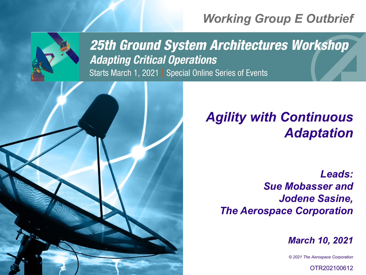# *Working Group E Outbrief*



**25th Ground System Architectures Workshop Adapting Critical Operations** Starts March 1, 2021 | Special Online Series of Events



*Leads: Sue Mobasser and Jodene Sasine, The Aerospace Corporation* 

*March 10, 2021*

*© 2021 The Aerospace Corporation*

OTR202100612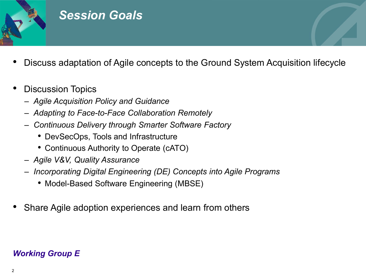

### *Session Goals*

- Discuss adaptation of Agile concepts to the Ground System Acquisition lifecycle
- Discussion Topics
	- *Agile Acquisition Policy and Guidance*
	- *Adapting to Face-to-Face Collaboration Remotely*
	- *Continuous Delivery through Smarter Software Factory*
		- DevSecOps, Tools and Infrastructure
		- Continuous Authority to Operate (cATO)
	- *Agile V&V, Quality Assurance*
	- *Incorporating Digital Engineering (DE) Concepts into Agile Programs*
		- Model-Based Software Engineering (MBSE)
- Share Agile adoption experiences and learn from others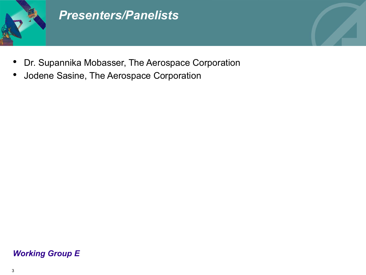

### *Presenters/Panelists*

- Dr. Supannika Mobasser, The Aerospace Corporation
- Jodene Sasine, The Aerospace Corporation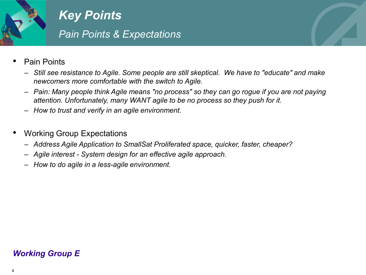

*Key Points Pain Points & Expectations*

- Pain Points
	- *Still see resistance to Agile. Some people are still skeptical. We have to "educate" and make newcomers more comfortable with the switch to Agile.*
	- *Pain: Many people think Agile means "no process" so they can go rogue if you are not paying attention. Unfortunately, many WANT agile to be no process so they push for it.*
	- *How to trust and verify in an agile environment.*
- Working Group Expectations
	- *Address Agile Application to SmallSat Proliferated space, quicker, faster, cheaper?*
	- *Agile interest - System design for an effective agile approach.*
	- *How to do agile in a less-agile environment.*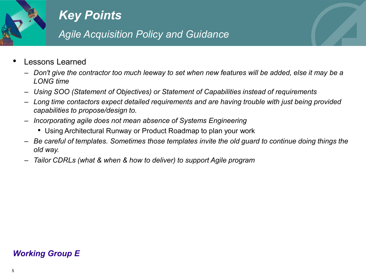

*Agile Acquisition Policy and Guidance*

- Lessons Learned
	- *Don't give the contractor too much leeway to set when new features will be added, else it may be a LONG time*
	- *Using SOO (Statement of Objectives) or Statement of Capabilities instead of requirements*
	- *Long time contactors expect detailed requirements and are having trouble with just being provided capabilities to propose/design to.*
	- *Incorporating agile does not mean absence of Systems Engineering*
		- Using Architectural Runway or Product Roadmap to plan your work
	- *Be careful of templates. Sometimes those templates invite the old guard to continue doing things the old way.*
	- *Tailor CDRLs (what & when & how to deliver) to support Agile program*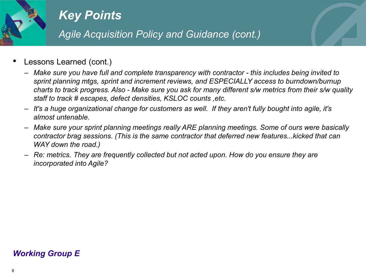

*Agile Acquisition Policy and Guidance (cont.)*

- Lessons Learned (cont.)
	- *Make sure you have full and complete transparency with contractor - this includes being invited to sprint planning mtgs, sprint and increment reviews, and ESPECIALLY access to burndown/burnup charts to track progress. Also - Make sure you ask for many different s/w metrics from their s/w quality staff to track # escapes, defect densities, KSLOC counts ,etc.*
	- *It's a huge organizational change for customers as well. If they aren't fully bought into agile, it's almost untenable.*
	- *Make sure your sprint planning meetings really ARE planning meetings. Some of ours were basically contractor brag sessions. (This is the same contractor that deferred new features...kicked that can WAY down the road.)*
	- *Re: metrics. They are frequently collected but not acted upon. How do you ensure they are incorporated into Agile?*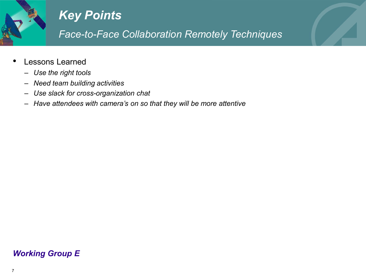

*Face-to-Face Collaboration Remotely Techniques*

- Lessons Learned
	- *Use the right tools*
	- *Need team building activities*
	- *Use slack for cross-organization chat*
	- *Have attendees with camera's on so that they will be more attentive*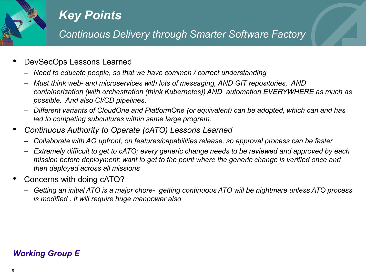

*Continuous Delivery through Smarter Software Factory*

- DevSecOps Lessons Learned
	- *Need to educate people, so that we have common / correct understanding*
	- *Must think web- and microservices with lots of messaging, AND GIT repositories, AND containerization (with orchestration (think Kubernetes)) AND automation EVERYWHERE as much as possible. And also CI/CD pipelines.*
	- *Different variants of CloudOne and PlatformOne (or equivalent) can be adopted, which can and has led to competing subcultures within same large program.*
- *Continuous Authority to Operate (cATO) Lessons Learned*
	- *Collaborate with AO upfront, on features/capabilities release, so approval process can be faster*
	- *Extremely difficult to get to cATO; every generic change needs to be reviewed and approved by each mission before deployment; want to get to the point where the generic change is verified once and then deployed across all missions*
- Concerns with doing cATO?
	- *Getting an initial ATO is a major chore- getting continuous ATO will be nightmare unless ATO process is modified . It will require huge manpower also*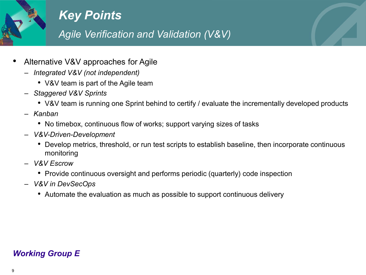

*Agile Verification and Validation (V&V)*

- Alternative V&V approaches for Agile
	- *Integrated V&V (not independent)* 
		- V&V team is part of the Agile team
	- *Staggered V&V Sprints*
		- V&V team is running one Sprint behind to certify / evaluate the incrementally developed products
	- *Kanban*
		- No timebox, continuous flow of works; support varying sizes of tasks
	- *V&V-Driven-Development* 
		- Develop metrics, threshold, or run test scripts to establish baseline, then incorporate continuous monitoring
	- *V&V Escrow* 
		- Provide continuous oversight and performs periodic (quarterly) code inspection
	- *V&V in DevSecOps*
		- Automate the evaluation as much as possible to support continuous delivery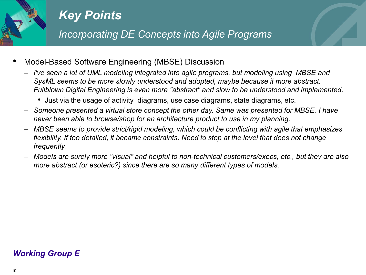

*Incorporating DE Concepts into Agile Programs*

- Model-Based Software Engineering (MBSE) Discussion
	- *I've seen a lot of UML modeling integrated into agile programs, but modeling using MBSE and SysML seems to be more slowly understood and adopted, maybe because it more abstract. Fullblown Digital Engineering is even more "abstract" and slow to be understood and implemented.* 
		- Just via the usage of activity diagrams, use case diagrams, state diagrams, etc.
	- *Someone presented a virtual store concept the other day. Same was presented for MBSE. I have never been able to browse/shop for an architecture product to use in my planning.*
	- *MBSE seems to provide strict/rigid modeling, which could be conflicting with agile that emphasizes flexibility. If too detailed, it became constraints. Need to stop at the level that does not change frequently.*
	- *Models are surely more "visual" and helpful to non-technical customers/execs, etc., but they are also more abstract (or esoteric?) since there are so many different types of models.*